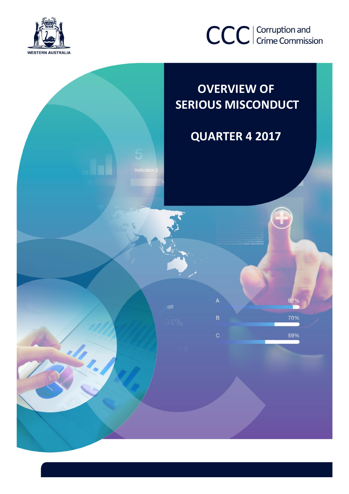



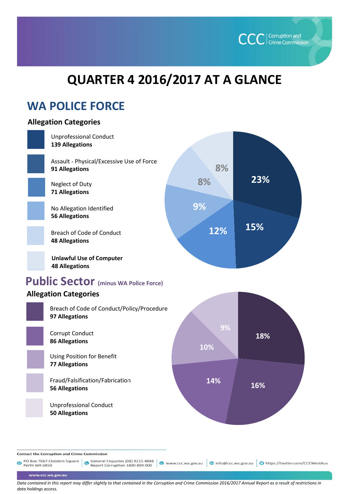

# **QUARTER 4 2016/2017 AT A GLANCE**

## **WA POLICE FORCE**

## **Allegation Categories**

www.ccc.wa.gov.au



*Data contained in this report may differ slightly to that contained in the Corruption and Crime Commission 2016/2017 Annual Report as a result of restrictions in data holdings access.*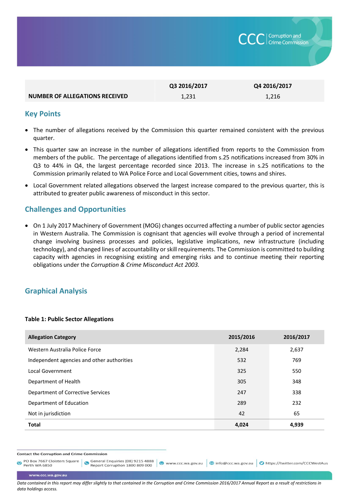

|                                       | Q3 2016/2017 | Q4 2016/2017 |
|---------------------------------------|--------------|--------------|
| <b>NUMBER OF ALLEGATIONS RECEIVED</b> | 1.231        | 1.216        |

#### **Key Points**

- The number of allegations received by the Commission this quarter remained consistent with the previous quarter.
- This quarter saw an increase in the number of allegations identified from reports to the Commission from members of the public. The percentage of allegations identified from s.25 notifications increased from 30% in Q3 to 44% in Q4 the largest percentage recorded since 2013. The increase in s.25 notifications to the Commission primarily related to WA Police Force and Local Government cities, towns and shires.
- Local Government related allegations observed the largest increase compared to the previous quarter, this is attributed to greater public awareness of misconduct in this sector.

### **Challenges and Opportunities**

 On 1 July 2017 Machinery of Government (MOG) changes occurred affecting a number of public sector agencies in Western Australia. The Commission is cognisant that agencies will evolve through a period of incremental change involving business processes and policies, legislative implications, new infrastructure (including technology), and changed lines of accountability or skill requirements. The Commission is committed to building capacity with agencies in recognising existing and emerging risks and to continue meeting their reporting obligations under the *Corruption & Crime Misconduct Act 2003.* 

#### **Graphical Analysis**

#### **Table 1: Public Sector Allegations**

| <b>Allegation Category</b>                 | 2015/2016 | 2016/2017 |
|--------------------------------------------|-----------|-----------|
| Western Australia Police Force             | 2,284     | 2,637     |
| Independent agencies and other authorities | 532       | 769       |
| <b>Local Government</b>                    | 325       | 550       |
| Department of Health                       | 305       | 348       |
| Department of Corrective Services          | 247       | 338       |
| Department of Education                    | 289       | 232       |
| Not in jurisdiction                        | 42        | 65        |
| <b>Total</b>                               | 4,024     | 4,939     |

**Contact the Corruption and Crime Commission** 

PO Box 7667 Cloisters Square General Enquiries (08) 9215 4888<br>Perth WA 6850  $\bullet$ 

● www.ccc.wa.gov.au | ◎ info@ccc.wa.gov.au | ● https://twitter.com/CCCWestAus

www.ccc.wa.gov.au

*Data contained in this report may differ slightly to that contained in the Corruption and Crime Commission 2016/2017 Annual Report as a result of restrictions in data holdings access.*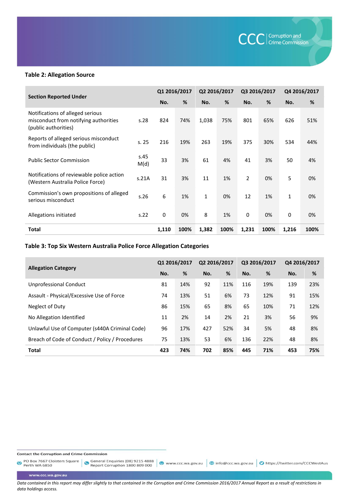

#### **Table 2: Allegation Source**

|                                                                                                   |              | Q1 2016/2017 |      | Q2 2016/2017 |      | Q3 2016/2017   |      | Q4 2016/2017 |      |
|---------------------------------------------------------------------------------------------------|--------------|--------------|------|--------------|------|----------------|------|--------------|------|
| <b>Section Reported Under</b>                                                                     |              | No.          | %    | No.          | %    | No.            | %    | No.          | %    |
| Notifications of alleged serious<br>misconduct from notifying authorities<br>(public authorities) | s.28         | 824          | 74%  | 1,038        | 75%  | 801            | 65%  | 626          | 51%  |
| Reports of alleged serious misconduct<br>from individuals (the public)                            | s.25         | 216          | 19%  | 263          | 19%  | 375            | 30%  | 534          | 44%  |
| <b>Public Sector Commission</b>                                                                   | s.45<br>M(d) | 33           | 3%   | 61           | 4%   | 41             | 3%   | 50           | 4%   |
| Notifications of reviewable police action<br>(Western Australia Police Force)                     | s.21A        | 31           | 3%   | 11           | 1%   | $\overline{2}$ | 0%   | 5            | 0%   |
| Commission's own propositions of alleged<br>serious misconduct                                    | s.26         | 6            | 1%   | 1            | 0%   | 12             | 1%   | $\mathbf{1}$ | 0%   |
| Allegations initiated                                                                             | s.22         | 0            | 0%   | 8            | 1%   | 0              | 0%   | 0            | 0%   |
| <b>Total</b>                                                                                      |              | 1,110        | 100% | 1,382        | 100% | 1,231          | 100% | 1,216        | 100% |

#### **Table 3: Top Six Western Australia Police Force Allegation Categories**

| <b>Allegation Category</b>                      | Q1 2016/2017 |     | Q2 2016/2017 |     | Q3 2016/2017 |     | Q4 2016/2017 |     |
|-------------------------------------------------|--------------|-----|--------------|-----|--------------|-----|--------------|-----|
|                                                 | No.          | %   | No.          | %   | No.          | %   | No.          | %   |
| Unprofessional Conduct                          | 81           | 14% | 92           | 11% | 116          | 19% | 139          | 23% |
| Assault - Physical/Excessive Use of Force       | 74           | 13% | 51           | 6%  | 73           | 12% | 91           | 15% |
| Neglect of Duty                                 | 86           | 15% | 65           | 8%  | 65           | 10% | 71           | 12% |
| No Allegation Identified                        | 11           | 2%  | 14           | 2%  | 21           | 3%  | 56           | 9%  |
| Unlawful Use of Computer (s440A Criminal Code)  | 96           | 17% | 427          | 52% | 34           | 5%  | 48           | 8%  |
| Breach of Code of Conduct / Policy / Procedures | 75           | 13% | 53           | 6%  | 136          | 22% | 48           | 8%  |
| <b>Total</b>                                    | 423          | 74% | 702          | 85% | 445          | 71% | 453          | 75% |

**Contact the Corruption and Crime Commission** 

PO Box 7667 Cloisters Square General Enquiries (08) 9215 4888<br>Perth WA 6850

www.ccc.wa.gov.au

*Data contained in this report may differ slightly to that contained in the Corruption and Crime Commission 2016/2017 Annual Report as a result of restrictions in data holdings access.* 

● www.ccc.wa.gov.au | © info@ccc.wa.gov.au | ● https://twitter.com/CCCWestAus